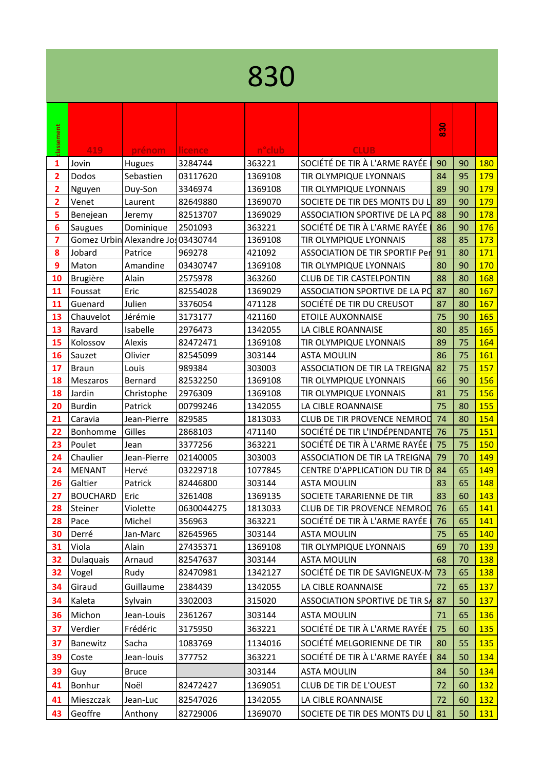## 

|                                                                      | 830                                                             |
|----------------------------------------------------------------------|-----------------------------------------------------------------|
| classement                                                           |                                                                 |
| 419<br>prénom<br>licence                                             | <b>CLUB</b><br>n <sup>o</sup> club                              |
| 3284744<br>363221<br>1<br>Jovin<br>Hugues                            | SOCIÉTÉ DE TIR À L'ARME RAYÉE<br>90<br>90<br>180                |
| $\overline{\mathbf{2}}$<br>Dodos<br>Sebastien<br>03117620<br>1369108 | 179<br>TIR OLYMPIQUE LYONNAIS<br>84<br>95                       |
| 2<br>Duy-Son<br>3346974<br>1369108<br>Nguyen                         | 179<br>TIR OLYMPIQUE LYONNAIS<br>89<br>90                       |
| $\overline{\mathbf{2}}$<br>82649880<br>1369070<br>Venet<br>Laurent   | 89<br>179<br>SOCIETE DE TIR DES MONTS DU I<br>90                |
| 5<br>82513707<br>1369029<br>Benejean<br>Jeremy                       | 88<br>178<br>90<br>ASSOCIATION SPORTIVE DE LA PO                |
| 6<br>363221<br>Dominique<br>2501093<br>Saugues                       | SOCIÉTÉ DE TIR À L'ARME RAYÉE<br>176<br>86<br>90                |
| Gomez Urbin Alexandre Jo 03430744<br>7<br>1369108                    | 88<br>85<br>173<br>TIR OLYMPIQUE LYONNAIS                       |
| 8<br>Jobard<br>421092<br>Patrice<br>969278                           | 91<br>171<br><b>ASSOCIATION DE TIR SPORTIF Per</b><br>80        |
| 9<br>Amandine<br>Maton<br>03430747<br>1369108                        | 80<br>90<br>170<br>TIR OLYMPIQUE LYONNAIS                       |
| 10<br>Brugière<br>Alain<br>2575978<br>363260                         | 88<br>168<br><b>CLUB DE TIR CASTELPONTIN</b><br>80              |
| Eric<br>11<br>Foussat<br>82554028<br>1369029                         | 87<br>167<br>ASSOCIATION SPORTIVE DE LA PO<br>80                |
| 11<br>Guenard<br>Julien<br>3376054<br>471128                         | SOCIÉTÉ DE TIR DU CREUSOT<br>167<br>87<br>80                    |
| Jérémie<br>13<br>Chauvelot<br>3173177<br>421160                      | 75<br>165<br><b>ETOILE AUXONNAISE</b><br>90                     |
| 13<br>Ravard<br>Isabelle<br>2976473<br>1342055                       | 165<br>80<br>85<br>LA CIBLE ROANNAISE                           |
| 15<br>Kolossov<br>Alexis<br>82472471<br>1369108                      | 75<br>164<br>89<br>TIR OLYMPIQUE LYONNAIS                       |
| Olivier<br>16<br>82545099<br>303144<br>Sauzet                        | 75<br>161<br><b>ASTA MOULIN</b><br>86                           |
| 17<br>Louis<br>989384<br>303003<br><b>Braun</b>                      | 82<br>157<br><b>ASSOCIATION DE TIR LA TREIGNA</b><br>75         |
| 18<br>Meszaros<br>Bernard<br>82532250<br>1369108                     | 156<br>66<br>90<br>TIR OLYMPIQUE LYONNAIS                       |
| 18<br>Jardin<br>2976309<br>1369108<br>Christophe                     | 75<br>156<br>TIR OLYMPIQUE LYONNAIS<br>81                       |
| 20<br>Patrick<br><b>Burdin</b><br>00799246<br>1342055                | 75<br>155<br>LA CIBLE ROANNAISE<br>80                           |
| Jean-Pierre<br>1813033<br>21<br>Caravia<br>829585                    | 154<br><b>CLUB DE TIR PROVENCE NEMROD</b><br>74<br>80           |
| Gilles<br>Bonhomme<br>2868103<br>471140<br>22                        | SOCIÉTÉ DE TIR L'INDÉPENDANTE<br>75<br>151<br>76                |
| 23<br>3377256<br>363221<br>Poulet<br>Jean                            | SOCIÉTÉ DE TIR À L'ARME RAYÉE<br>75<br>150<br>75                |
| Chaulier<br>24<br>Jean-Pierre<br>02140005<br>303003                  | <b>ASSOCIATION DE TIR LA TREIGNA</b><br>79<br>70<br>149         |
| <b>MENANT</b><br>Hervé<br>03229718<br>1077845<br>24                  | 84<br>65<br>149<br>CENTRE D'APPLICATION DU TIR D                |
| 26<br>82446800<br>Galtier<br>Patrick<br>303144                       | <b>ASTA MOULIN</b><br>83<br>65<br>148                           |
| <b>BOUCHARD</b><br>Eric<br>27<br>3261408<br>1369135                  | SOCIETE TARARIENNE DE TIR<br>83<br>60<br>143                    |
| 28<br>Violette<br>0630044275<br>1813033<br>Steiner                   | 65<br>76<br>141<br><b>CLUB DE TIR PROVENCE NEMROD</b>           |
| 363221<br>Michel<br>356963<br>28<br>Pace                             | SOCIÉTÉ DE TIR À L'ARME RAYÉE<br>141<br>76<br>65                |
| Jan-Marc<br>82645965<br>303144<br>30<br>Derré                        | <b>ASTA MOULIN</b><br>75<br>140<br>65                           |
| Alain<br>1369108<br>Viola<br>27435371<br>31                          | TIR OLYMPIQUE LYONNAIS<br>139<br>69<br>70                       |
| Dulaquais<br>Arnaud<br>32<br>82547637<br>303144                      | 68<br>138<br><b>ASTA MOULIN</b><br>70                           |
| 32<br>Vogel<br>82470981<br>1342127<br>Rudy                           | SOCIÉTÉ DE TIR DE SAVIGNEUX-M<br>138<br>73<br>65                |
| Giraud<br>Guillaume<br>2384439<br>1342055<br>34                      | 72<br>65<br>137<br>LA CIBLE ROANNAISE                           |
| Kaleta<br>315020<br>Sylvain<br>3302003<br>34                         | <b>ASSOCIATION SPORTIVE DE TIR SA</b><br>87<br>50<br><b>137</b> |
| Michon<br>36<br>Jean-Louis<br>2361267<br>303144                      | 136<br><b>ASTA MOULIN</b><br>71<br>65                           |
| Verdier<br>Frédéric<br>3175950<br>363221<br>37                       | SOCIÉTÉ DE TIR À L'ARME RAYÉE<br>75<br>60<br><b>135</b>         |
| 37<br>Banewitz<br>Sacha<br>1083769<br>1134016                        | SOCIÉTÉ MELGORIENNE DE TIR<br>80<br>55<br><b>135</b>            |
|                                                                      |                                                                 |
| 363221<br>Coste<br>Jean-louis<br>377752<br>39                        | SOCIÉTÉ DE TIR À L'ARME RAYÉE<br>84<br>50<br>134                |
| 303144<br>39<br>Guy<br><b>Bruce</b>                                  | <b>ASTA MOULIN</b><br>84<br>134<br>50                           |
| Bonhur<br>Noël<br>82472427<br>41<br>1369051                          | <b>CLUB DE TIR DE L'OUEST</b><br>60<br>132<br>72                |
|                                                                      | LA CIBLE ROANNAISE<br>72<br>132<br>60                           |
| Mieszczak<br>Jean-Luc<br>82547026<br>1342055<br>41                   |                                                                 |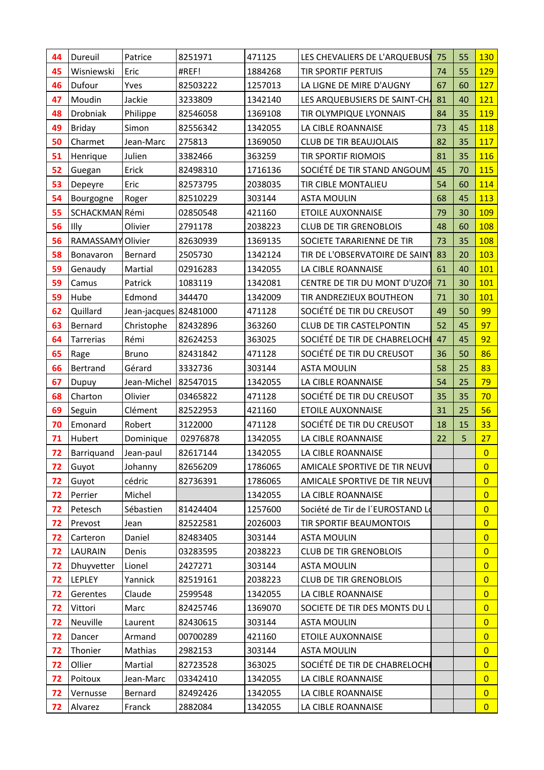| 44 | Dureuil           | Patrice               | 8251971  | 471125  | LES CHEVALIERS DE L'ARQUEBUSE    | 75 | 55 | 130            |
|----|-------------------|-----------------------|----------|---------|----------------------------------|----|----|----------------|
| 45 | Wisniewski        | Eric                  | #REF!    | 1884268 | <b>TIR SPORTIF PERTUIS</b>       | 74 | 55 | 129            |
| 46 | Dufour            | Yves                  | 82503222 | 1257013 | LA LIGNE DE MIRE D'AUGNY         | 67 | 60 | 127            |
| 47 | Moudin            | Jackie                | 3233809  | 1342140 | LES ARQUEBUSIERS DE SAINT-CH     | 81 | 40 | 121            |
| 48 | Drobniak          | Philippe              | 82546058 | 1369108 | TIR OLYMPIQUE LYONNAIS           | 84 | 35 | 119            |
| 49 | Briday            | Simon                 | 82556342 | 1342055 | LA CIBLE ROANNAISE               | 73 | 45 | <b>118</b>     |
| 50 | Charmet           | Jean-Marc             | 275813   | 1369050 | <b>CLUB DE TIR BEAUJOLAIS</b>    | 82 | 35 | 117            |
| 51 | Henrique          | Julien                | 3382466  | 363259  | <b>TIR SPORTIF RIOMOIS</b>       | 81 | 35 | 116            |
| 52 | Guegan            | Erick                 | 82498310 | 1716136 | SOCIÉTÉ DE TIR STAND ANGOUM      | 45 | 70 | 115            |
| 53 | Depeyre           | Eric                  | 82573795 | 2038035 | TIR CIBLE MONTALIEU              | 54 | 60 | 114            |
| 54 | Bourgogne         | Roger                 | 82510229 | 303144  | <b>ASTA MOULIN</b>               | 68 | 45 | 113            |
| 55 | SCHACKMAN Rémi    |                       | 02850548 | 421160  | <b>ETOILE AUXONNAISE</b>         | 79 | 30 | 109            |
| 56 | Illy              | Olivier               | 2791178  | 2038223 | <b>CLUB DE TIR GRENOBLOIS</b>    | 48 | 60 | 108            |
| 56 | RAMASSAMY Olivier |                       | 82630939 | 1369135 | SOCIETE TARARIENNE DE TIR        | 73 | 35 | 108            |
| 58 | Bonavaron         | Bernard               | 2505730  | 1342124 | TIR DE L'OBSERVATOIRE DE SAINT   | 83 | 20 | 103            |
| 59 | Genaudy           | Martial               | 02916283 | 1342055 | LA CIBLE ROANNAISE               | 61 | 40 | 101            |
| 59 | Camus             | Patrick               | 1083119  | 1342081 | CENTRE DE TIR DU MONT D'UZOH     | 71 | 30 | 101            |
| 59 | Hube              | Edmond                | 344470   | 1342009 | TIR ANDREZIEUX BOUTHEON          | 71 | 30 | 101            |
| 62 | Quillard          | Jean-jacques 82481000 |          | 471128  | SOCIÉTÉ DE TIR DU CREUSOT        | 49 | 50 | 99             |
| 63 | Bernard           | Christophe            | 82432896 | 363260  | <b>CLUB DE TIR CASTELPONTIN</b>  | 52 | 45 | 97             |
| 64 | Tarrerias         | Rémi                  | 82624253 | 363025  | SOCIÉTÉ DE TIR DE CHABRELOCHE    | 47 | 45 | 92             |
| 65 | Rage              | <b>Bruno</b>          | 82431842 | 471128  | SOCIÉTÉ DE TIR DU CREUSOT        | 36 | 50 | 86             |
| 66 | Bertrand          | Gérard                | 3332736  | 303144  | <b>ASTA MOULIN</b>               | 58 | 25 | 83             |
| 67 | Dupuy             | Jean-Michel           | 82547015 | 1342055 | LA CIBLE ROANNAISE               | 54 | 25 | 79             |
| 68 | Charton           | Olivier               | 03465822 | 471128  | SOCIÉTÉ DE TIR DU CREUSOT        | 35 | 35 | 70             |
| 69 | Seguin            | Clément               | 82522953 | 421160  | <b>ETOILE AUXONNAISE</b>         | 31 | 25 | 56             |
| 70 | Emonard           | Robert                | 3122000  | 471128  | SOCIÉTÉ DE TIR DU CREUSOT        | 18 | 15 | 33             |
| 71 | Hubert            | Dominique             | 02976878 | 1342055 | LA CIBLE ROANNAISE               | 22 | 5  | 27             |
| 72 | Barriquand        | Jean-paul             | 82617144 | 1342055 | LA CIBLE ROANNAISE               |    |    | $\overline{0}$ |
| 72 | Guyot             | Johanny               | 82656209 | 1786065 | AMICALE SPORTIVE DE TIR NEUVI    |    |    | $\overline{0}$ |
| 72 | Guyot             | cédric                | 82736391 | 1786065 | AMICALE SPORTIVE DE TIR NEUVI    |    |    | $\overline{0}$ |
| 72 | Perrier           | Michel                |          | 1342055 | LA CIBLE ROANNAISE               |    |    | $\overline{0}$ |
| 72 | Petesch           | Sébastien             | 81424404 | 1257600 | Société de Tir de l'EUROSTAND Lo |    |    | $\overline{0}$ |
| 72 | Prevost           | Jean                  | 82522581 | 2026003 | TIR SPORTIF BEAUMONTOIS          |    |    | $\overline{0}$ |
| 72 | Carteron          | Daniel                | 82483405 | 303144  | <b>ASTA MOULIN</b>               |    |    | $\overline{0}$ |
| 72 | LAURAIN           | Denis                 | 03283595 | 2038223 | <b>CLUB DE TIR GRENOBLOIS</b>    |    |    | $\overline{0}$ |
| 72 | Dhuyvetter        | Lionel                | 2427271  | 303144  | <b>ASTA MOULIN</b>               |    |    | $\overline{0}$ |
| 72 | LEPLEY            | Yannick               | 82519161 | 2038223 | <b>CLUB DE TIR GRENOBLOIS</b>    |    |    | $\overline{0}$ |
| 72 | Gerentes          | Claude                | 2599548  | 1342055 | LA CIBLE ROANNAISE               |    |    | $\overline{0}$ |
| 72 | Vittori           | Marc                  | 82425746 | 1369070 | SOCIETE DE TIR DES MONTS DU L    |    |    | $\overline{0}$ |
| 72 | Neuville          | Laurent               | 82430615 | 303144  | <b>ASTA MOULIN</b>               |    |    | $\overline{0}$ |
| 72 | Dancer            | Armand                | 00700289 | 421160  | <b>ETOILE AUXONNAISE</b>         |    |    | $\overline{0}$ |
| 72 | Thonier           | Mathias               | 2982153  | 303144  | <b>ASTA MOULIN</b>               |    |    | $\overline{0}$ |
| 72 | Ollier            | Martial               | 82723528 | 363025  | SOCIÉTÉ DE TIR DE CHABRELOCHI    |    |    | $\overline{0}$ |
| 72 | Poitoux           | Jean-Marc             | 03342410 | 1342055 | LA CIBLE ROANNAISE               |    |    | $\overline{0}$ |
| 72 | Vernusse          | Bernard               | 82492426 | 1342055 | LA CIBLE ROANNAISE               |    |    | $\overline{0}$ |
| 72 | Alvarez           | Franck                | 2882084  | 1342055 | LA CIBLE ROANNAISE               |    |    | $\overline{0}$ |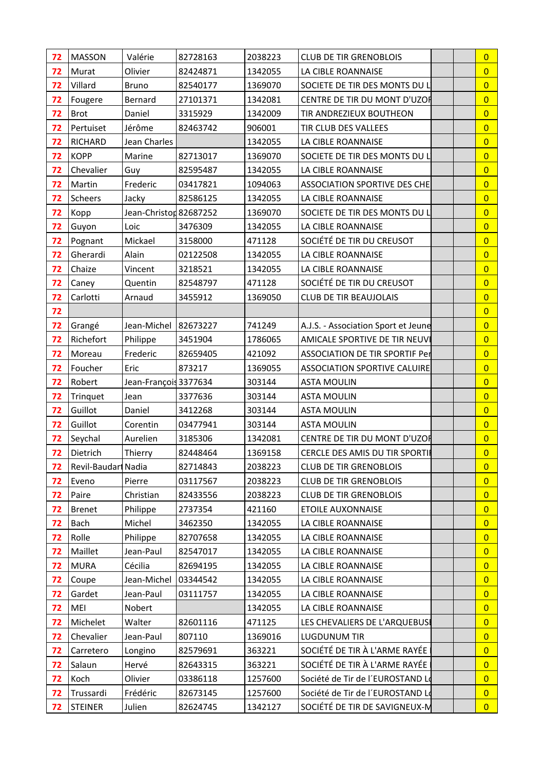| 72 | <b>MASSON</b>       | Valérie                | 82728163 | 2038223 | <b>CLUB DE TIR GRENOBLOIS</b>         | $\overline{0}$ |  |
|----|---------------------|------------------------|----------|---------|---------------------------------------|----------------|--|
| 72 | Murat               | Olivier                | 82424871 | 1342055 | LA CIBLE ROANNAISE                    | $\overline{0}$ |  |
| 72 | Villard             | <b>Bruno</b>           | 82540177 | 1369070 | SOCIETE DE TIR DES MONTS DU L         | $\overline{0}$ |  |
| 72 | Fougere             | Bernard                | 27101371 | 1342081 | CENTRE DE TIR DU MONT D'UZOF          | $\overline{0}$ |  |
| 72 | <b>Brot</b>         | Daniel                 | 3315929  | 1342009 | TIR ANDREZIEUX BOUTHEON               | $\overline{0}$ |  |
| 72 | Pertuiset           | Jérôme                 | 82463742 | 906001  | TIR CLUB DES VALLEES                  | $\overline{0}$ |  |
| 72 | <b>RICHARD</b>      | Jean Charles           |          | 1342055 | LA CIBLE ROANNAISE                    | $\overline{0}$ |  |
| 72 | <b>KOPP</b>         | Marine                 | 82713017 | 1369070 | SOCIETE DE TIR DES MONTS DU L         | $\overline{0}$ |  |
| 72 | Chevalier           | Guy                    | 82595487 | 1342055 | LA CIBLE ROANNAISE                    | $\overline{0}$ |  |
| 72 | Martin              | Frederic               | 03417821 | 1094063 | <b>ASSOCIATION SPORTIVE DES CHE</b>   | $\overline{0}$ |  |
| 72 | <b>Scheers</b>      | Jacky                  | 82586125 | 1342055 | LA CIBLE ROANNAISE                    | $\overline{0}$ |  |
| 72 | Kopp                | Jean-Christon 82687252 |          | 1369070 | SOCIETE DE TIR DES MONTS DU L'        | $\overline{0}$ |  |
| 72 | Guyon               | Loic                   | 3476309  | 1342055 | LA CIBLE ROANNAISE                    | $\overline{0}$ |  |
| 72 | Pognant             | Mickael                | 3158000  | 471128  | SOCIÉTÉ DE TIR DU CREUSOT             | $\overline{0}$ |  |
| 72 | Gherardi            | Alain                  | 02122508 | 1342055 | LA CIBLE ROANNAISE                    | $\overline{0}$ |  |
| 72 | Chaize              | Vincent                | 3218521  | 1342055 | LA CIBLE ROANNAISE                    | $\overline{0}$ |  |
| 72 | Caney               | Quentin                | 82548797 | 471128  | SOCIÉTÉ DE TIR DU CREUSOT             | $\overline{0}$ |  |
| 72 | Carlotti            | Arnaud                 | 3455912  | 1369050 | <b>CLUB DE TIR BEAUJOLAIS</b>         | $\overline{0}$ |  |
| 72 |                     |                        |          |         |                                       | $\overline{0}$ |  |
| 72 | Grangé              | Jean-Michel   82673227 |          | 741249  | A.J.S. - Association Sport et Jeune   | $\overline{0}$ |  |
| 72 | Richefort           | Philippe               | 3451904  | 1786065 | AMICALE SPORTIVE DE TIR NEUVI         | $\overline{0}$ |  |
| 72 | Moreau              | Frederic               | 82659405 | 421092  | <b>ASSOCIATION DE TIR SPORTIF Per</b> | $\overline{0}$ |  |
| 72 | Foucher             | Eric                   | 873217   | 1369055 | <b>ASSOCIATION SPORTIVE CALUIRE</b>   | $\overline{0}$ |  |
| 72 | Robert              | Jean-François 3377634  |          | 303144  | <b>ASTA MOULIN</b>                    | $\overline{0}$ |  |
| 72 | Trinquet            | Jean                   | 3377636  | 303144  | <b>ASTA MOULIN</b>                    | $\overline{0}$ |  |
| 72 | Guillot             | Daniel                 | 3412268  | 303144  | <b>ASTA MOULIN</b>                    | $\overline{0}$ |  |
| 72 | Guillot             | Corentin               | 03477941 | 303144  | <b>ASTA MOULIN</b>                    | $\overline{0}$ |  |
| 72 | Seychal             | Aurelien               | 3185306  | 1342081 | CENTRE DE TIR DU MONT D'UZOF          | $\overline{0}$ |  |
| 72 | Dietrich            | Thierry                | 82448464 | 1369158 | <b>CERCLE DES AMIS DU TIR SPORTIF</b> | $\overline{0}$ |  |
| 72 | Revil-Baudari Nadia |                        | 82714843 | 2038223 | <b>CLUB DE TIR GRENOBLOIS</b>         | $\overline{0}$ |  |
| 72 | Eveno               | Pierre                 | 03117567 | 2038223 | <b>CLUB DE TIR GRENOBLOIS</b>         | $\overline{0}$ |  |
| 72 | Paire               | Christian              | 82433556 | 2038223 | <b>CLUB DE TIR GRENOBLOIS</b>         | $\overline{0}$ |  |
| 72 | <b>Brenet</b>       | Philippe               | 2737354  | 421160  | <b>ETOILE AUXONNAISE</b>              | $\overline{0}$ |  |
| 72 | Bach                | Michel                 | 3462350  | 1342055 | LA CIBLE ROANNAISE                    | $\overline{0}$ |  |
| 72 | Rolle               | Philippe               | 82707658 | 1342055 | LA CIBLE ROANNAISE                    | $\overline{0}$ |  |
| 72 | Maillet             | Jean-Paul              | 82547017 | 1342055 | LA CIBLE ROANNAISE                    | $\overline{0}$ |  |
| 72 | <b>MURA</b>         | Cécilia                | 82694195 | 1342055 | LA CIBLE ROANNAISE                    | $\overline{0}$ |  |
| 72 | Coupe               | Jean-Michel            | 03344542 | 1342055 | LA CIBLE ROANNAISE                    | $\overline{0}$ |  |
| 72 | Gardet              | Jean-Paul              | 03111757 | 1342055 | LA CIBLE ROANNAISE                    | $\overline{0}$ |  |
| 72 | MEI                 | Nobert                 |          | 1342055 | LA CIBLE ROANNAISE                    | $\overline{0}$ |  |
| 72 | Michelet            | Walter                 | 82601116 | 471125  | LES CHEVALIERS DE L'ARQUEBUSI         | $\overline{0}$ |  |
| 72 | Chevalier           | Jean-Paul              | 807110   | 1369016 | <b>LUGDUNUM TIR</b>                   | $\overline{0}$ |  |
| 72 | Carretero           | Longino                | 82579691 | 363221  | SOCIÉTÉ DE TIR À L'ARME RAYÉE         | $\overline{0}$ |  |
| 72 | Salaun              | Hervé                  | 82643315 | 363221  | SOCIÉTÉ DE TIR À L'ARME RAYÉE         | $\overline{0}$ |  |
| 72 | Koch                | Olivier                | 03386118 | 1257600 | Société de Tir de l'EUROSTAND Lo      | $\overline{0}$ |  |
| 72 | Trussardi           | Frédéric               | 82673145 | 1257600 | Société de Tir de l'EUROSTAND Lo      | $\overline{0}$ |  |
| 72 | <b>STEINER</b>      | Julien                 | 82624745 | 1342127 | SOCIÉTÉ DE TIR DE SAVIGNEUX-M         | $\overline{0}$ |  |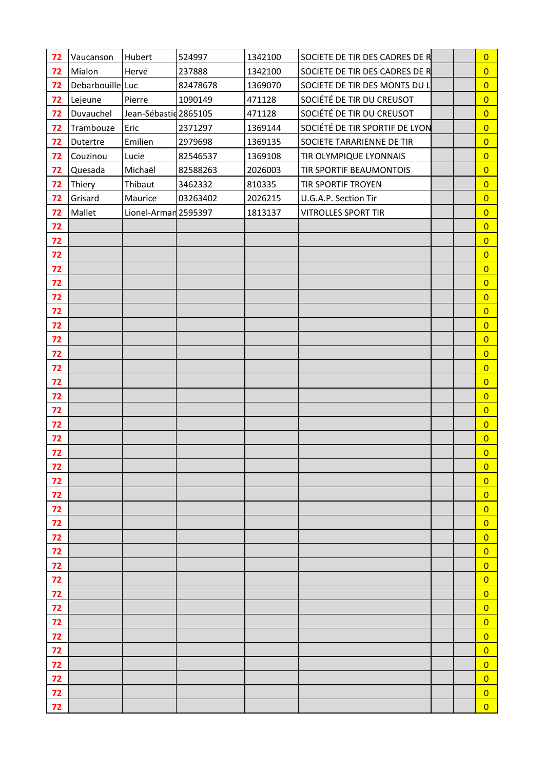| 72       | Vaucanson        | Hubert                | 524997   | 1342100 | SOCIETE DE TIR DES CADRES DE R | $\overline{0}$                   |  |
|----------|------------------|-----------------------|----------|---------|--------------------------------|----------------------------------|--|
| 72       | Mialon           | Hervé                 | 237888   | 1342100 | SOCIETE DE TIR DES CADRES DE R | $\overline{0}$                   |  |
| 72       | Debarbouille Luc |                       | 82478678 | 1369070 | SOCIETE DE TIR DES MONTS DU L' | $\overline{0}$                   |  |
| 72       | Lejeune          | Pierre                | 1090149  | 471128  | SOCIÉTÉ DE TIR DU CREUSOT      | $\overline{0}$                   |  |
| 72       | Duvauchel        | Jean-Sébastic 2865105 |          | 471128  | SOCIÉTÉ DE TIR DU CREUSOT      | $\overline{0}$                   |  |
| 72       | Trambouze        | Eric                  | 2371297  | 1369144 | SOCIÉTÉ DE TIR SPORTIF DE LYON | $\overline{0}$                   |  |
| 72       | Dutertre         | Emilien               | 2979698  | 1369135 | SOCIETE TARARIENNE DE TIR      | $\overline{0}$                   |  |
| 72       | Couzinou         | Lucie                 | 82546537 | 1369108 | TIR OLYMPIQUE LYONNAIS         | $\overline{0}$                   |  |
| 72       | Quesada          | Michaël               | 82588263 | 2026003 | TIR SPORTIF BEAUMONTOIS        | $\overline{0}$                   |  |
| 72       | Thiery           | Thibaut               | 3462332  | 810335  | TIR SPORTIF TROYEN             | $\overline{0}$                   |  |
| 72       | Grisard          | Maurice               | 03263402 | 2026215 | U.G.A.P. Section Tir           | $\overline{0}$                   |  |
| 72       | Mallet           | Lionel-Arman 2595397  |          | 1813137 | <b>VITROLLES SPORT TIR</b>     | $\overline{0}$                   |  |
| 72       |                  |                       |          |         |                                | $\overline{0}$                   |  |
| 72       |                  |                       |          |         |                                | $\overline{0}$                   |  |
| 72       |                  |                       |          |         |                                | $\overline{0}$                   |  |
| 72       |                  |                       |          |         |                                | $\overline{0}$                   |  |
| 72       |                  |                       |          |         |                                | $\overline{0}$                   |  |
| 72       |                  |                       |          |         |                                | $\overline{0}$                   |  |
| 72       |                  |                       |          |         |                                | $\overline{0}$                   |  |
| 72       |                  |                       |          |         |                                | $\overline{0}$                   |  |
| 72       |                  |                       |          |         |                                | $\overline{0}$                   |  |
| 72       |                  |                       |          |         |                                | $\overline{0}$                   |  |
| 72       |                  |                       |          |         |                                | $\overline{0}$                   |  |
| 72       |                  |                       |          |         |                                | $\overline{0}$                   |  |
| 72       |                  |                       |          |         |                                | $\overline{0}$                   |  |
| 72       |                  |                       |          |         |                                | $\overline{0}$                   |  |
| 72       |                  |                       |          |         |                                | $\overline{0}$                   |  |
| 72       |                  |                       |          |         |                                | $\overline{0}$                   |  |
| 72       |                  |                       |          |         |                                | $\overline{0}$                   |  |
| 72       |                  |                       |          |         |                                | $\overline{0}$                   |  |
| 72       |                  |                       |          |         |                                | $\overline{0}$                   |  |
| 72       |                  |                       |          |         |                                | $\overline{0}$                   |  |
| 72       |                  |                       |          |         |                                | $\overline{0}$                   |  |
| 72<br>72 |                  |                       |          |         |                                | $\overline{0}$                   |  |
| 72       |                  |                       |          |         |                                | $\overline{0}$<br>$\overline{0}$ |  |
| 72       |                  |                       |          |         |                                | $\overline{0}$                   |  |
| 72       |                  |                       |          |         |                                | $\overline{0}$                   |  |
| 72       |                  |                       |          |         |                                | $\overline{0}$                   |  |
| 72       |                  |                       |          |         |                                | $\overline{0}$                   |  |
| 72       |                  |                       |          |         |                                | $\overline{0}$                   |  |
| 72       |                  |                       |          |         |                                | $\overline{0}$                   |  |
| 72       |                  |                       |          |         |                                | $\overline{0}$                   |  |
| 72       |                  |                       |          |         |                                | $\overline{0}$                   |  |
| 72       |                  |                       |          |         |                                | $\overline{0}$                   |  |
| 72       |                  |                       |          |         |                                | $\overline{0}$                   |  |
| 72       |                  |                       |          |         |                                | $\overline{0}$                   |  |
|          |                  |                       |          |         |                                |                                  |  |